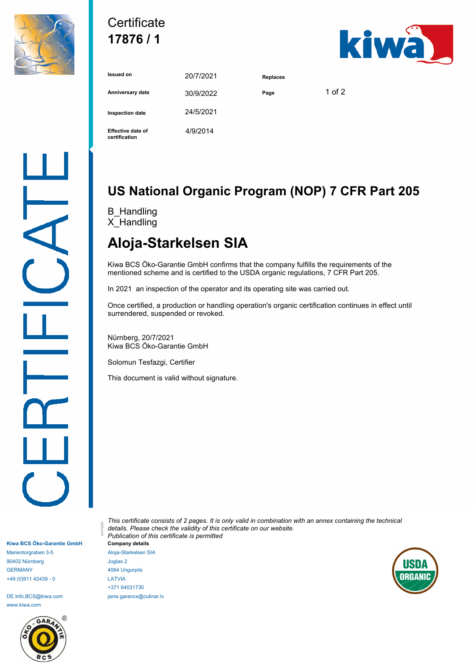

### **Certificate 17876 / 1**



| <b>Issued on</b>                          | 20/7/2021 | <b>Replaces</b> |          |
|-------------------------------------------|-----------|-----------------|----------|
| Anniversary date                          | 30/9/2022 | Page            | 1 of $2$ |
| <b>Inspection date</b>                    | 24/5/2021 |                 |          |
| <b>Effective date of</b><br>certification | 4/9/2014  |                 |          |

# **US National Organic Program (NOP) 7 CFR Part 205**

B\_Handling X\_Handling

# **Aloja-Starkelsen SIA**

Kiwa BCS Öko-Garantie GmbH confirms that the company fulfills the requirements of the mentioned scheme and is certified to the USDA organic regulations, 7 CFR Part 205.

In 2021 an inspection of the operator and its operating site was carried out.

Once certified, a production or handling operation's organic certification continues in effect until surrendered, suspended or revoked.

Nürnberg, 20/7/2021 Kiwa BCS Öko-Garantie GmbH

Solomun Tesfazgi, Certifier

This document is valid without signature.

**Kiwa BCS Öko-Garantie GmbH** Marientorgraben 3-5 90402 Nürnberg GERMANY +49 (0)911 42439 - 0

DE.Info.BCS@kiwa.com www.kiwa.com



*This certificate consists of 2 pages. It is only valid in combination with an annex containing the technical details. Please check the validity of this certificate on our website. Publication of this certificate is permitted* 01/170301 **Company details**

Aloja-Starkelsen SIA Joglas 2 4064 Ungurpils LATVIA +371 64031730 janis.garancs@culinar.lv